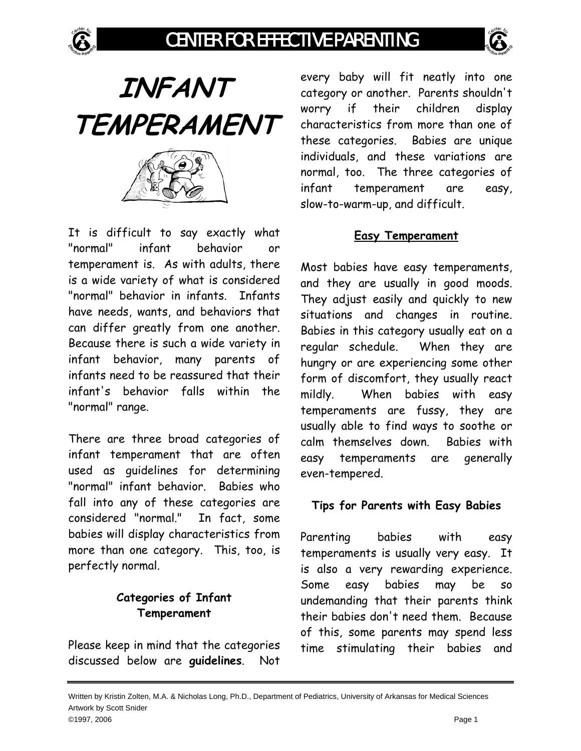







It is difficult to say exactly what "normal" infant behavior or temperament is. As with adults, there is a wide variety of what is considered "normal" behavior in infants. Infants have needs, wants, and behaviors that can differ greatly from one another. Because there is such a wide variety in infant behavior, many parents of infants need to be reassured that their infant's behavior falls within the "normal" range.

There are three broad categories of infant temperament that are often used as guidelines for determining "normal" infant behavior. Babies who fall into any of these categories are considered "normal." In fact, some babies will display characteristics from more than one category. This, too, is perfectly normal.

# **Categories of Infant Temperament**

Please keep in mind that the categories discussed below are **guidelines**. Not

every baby will fit neatly into one category or another. Parents shouldn't worry if their children display characteristics from more than one of these categories. Babies are unique individuals, and these variations are normal, too. The three categories of infant temperament are easy, slow-to-warm-up, and difficult.

### **Easy Temperament**

Most babies have easy temperaments, and they are usually in good moods. They adjust easily and quickly to new situations and changes in routine. Babies in this category usually eat on a regular schedule. When they are hungry or are experiencing some other form of discomfort, they usually react mildly. When babies with easy temperaments are fussy, they are usually able to find ways to soothe or calm themselves down. Babies with easy temperaments are generally even-tempered.

### **Tips for Parents with Easy Babies**

Parenting babies with easy temperaments is usually very easy. It is also a very rewarding experience. Some easy babies may be so undemanding that their parents think their babies don't need them. Because of this, some parents may spend less time stimulating their babies and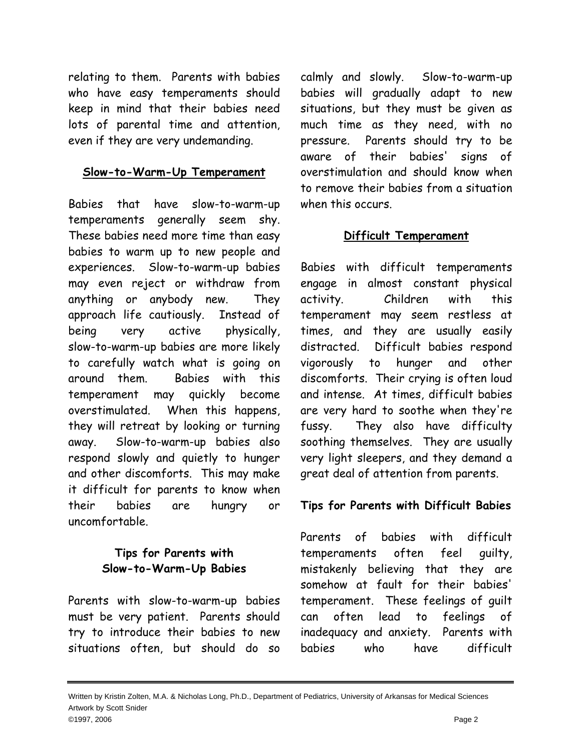relating to them. Parents with babies who have easy temperaments should keep in mind that their babies need lots of parental time and attention, even if they are very undemanding.

#### **Slow-to-Warm-Up Temperament**

Babies that have slow-to-warm-up temperaments generally seem shy. These babies need more time than easy babies to warm up to new people and experiences. Slow-to-warm-up babies may even reject or withdraw from anything or anybody new. They approach life cautiously. Instead of being very active physically, slow-to-warm-up babies are more likely to carefully watch what is going on around them. Babies with this temperament may quickly become overstimulated. When this happens, they will retreat by looking or turning away. Slow-to-warm-up babies also respond slowly and quietly to hunger and other discomforts. This may make it difficult for parents to know when their babies are hungry or uncomfortable.

## **Tips for Parents with Slow-to-Warm-Up Babies**

Parents with slow-to-warm-up babies must be very patient. Parents should try to introduce their babies to new situations often, but should do so

calmly and slowly. Slow-to-warm-up babies will gradually adapt to new situations, but they must be given as much time as they need, with no pressure. Parents should try to be aware of their babies' signs of overstimulation and should know when to remove their babies from a situation when this occurs.

### **Difficult Temperament**

Babies with difficult temperaments engage in almost constant physical activity. Children with this temperament may seem restless at times, and they are usually easily distracted. Difficult babies respond vigorously to hunger and other discomforts. Their crying is often loud and intense. At times, difficult babies are very hard to soothe when they're fussy. They also have difficulty soothing themselves. They are usually very light sleepers, and they demand a great deal of attention from parents.

### **Tips for Parents with Difficult Babies**

Parents of babies with difficult temperaments often feel guilty, mistakenly believing that they are somehow at fault for their babies' temperament. These feelings of guilt can often lead to feelings of inadequacy and anxiety. Parents with babies who have difficult